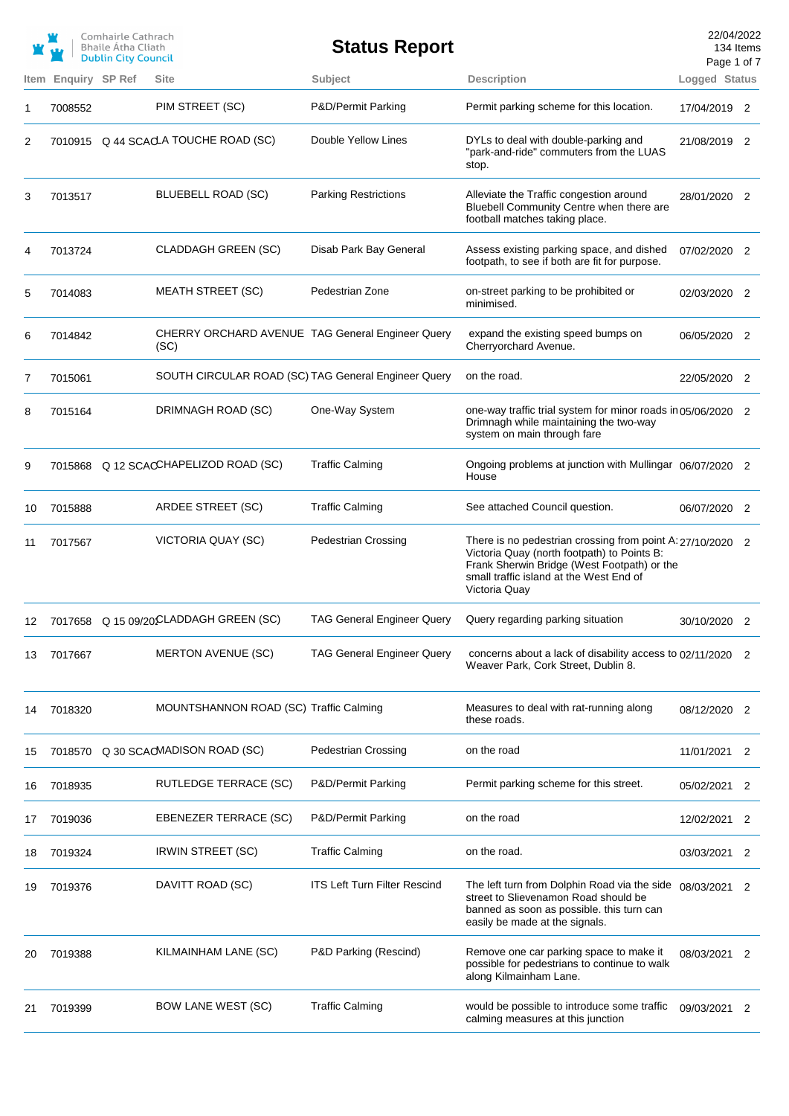|    |                     | Comhairle Cathrach<br><b>Bhaile Atha Cliath</b><br><b>Dublin City Council</b> |                                                          | <b>Status Report</b>                |                                                                                                                                                                                                                      | 22/04/2022<br>Page 1 of 7 | 134 Items |
|----|---------------------|-------------------------------------------------------------------------------|----------------------------------------------------------|-------------------------------------|----------------------------------------------------------------------------------------------------------------------------------------------------------------------------------------------------------------------|---------------------------|-----------|
|    | Item Enquiry SP Ref |                                                                               | <b>Site</b>                                              | Subject                             | <b>Description</b>                                                                                                                                                                                                   | Logged Status             |           |
| 1  | 7008552             |                                                                               | PIM STREET (SC)                                          | P&D/Permit Parking                  | Permit parking scheme for this location.                                                                                                                                                                             | 17/04/2019 2              |           |
| 2  |                     |                                                                               | 7010915 Q 44 SCACLA TOUCHE ROAD (SC)                     | Double Yellow Lines                 | DYLs to deal with double-parking and<br>"park-and-ride" commuters from the LUAS<br>stop.                                                                                                                             | 21/08/2019 2              |           |
| 3  | 7013517             |                                                                               | BLUEBELL ROAD (SC)                                       | <b>Parking Restrictions</b>         | Alleviate the Traffic congestion around<br>Bluebell Community Centre when there are<br>football matches taking place.                                                                                                | 28/01/2020 2              |           |
| 4  | 7013724             |                                                                               | <b>CLADDAGH GREEN (SC)</b>                               | Disab Park Bay General              | Assess existing parking space, and dished<br>footpath, to see if both are fit for purpose.                                                                                                                           | 07/02/2020 2              |           |
| 5  | 7014083             |                                                                               | <b>MEATH STREET (SC)</b>                                 | Pedestrian Zone                     | on-street parking to be prohibited or<br>minimised.                                                                                                                                                                  | 02/03/2020 2              |           |
| 6  | 7014842             |                                                                               | CHERRY ORCHARD AVENUE TAG General Engineer Query<br>(SC) |                                     | expand the existing speed bumps on<br>Cherryorchard Avenue.                                                                                                                                                          | 06/05/2020 2              |           |
| 7  | 7015061             |                                                                               | SOUTH CIRCULAR ROAD (SC) TAG General Engineer Query      |                                     | on the road.                                                                                                                                                                                                         | 22/05/2020 2              |           |
| 8  | 7015164             |                                                                               | DRIMNAGH ROAD (SC)                                       | One-Way System                      | one-way traffic trial system for minor roads in 05/06/2020 2<br>Drimnagh while maintaining the two-way<br>system on main through fare                                                                                |                           |           |
| 9  |                     |                                                                               | 7015868 Q 12 SCACCHAPELIZOD ROAD (SC)                    | <b>Traffic Calming</b>              | Ongoing problems at junction with Mullingar 06/07/2020 2<br>House                                                                                                                                                    |                           |           |
| 10 | 7015888             |                                                                               | ARDEE STREET (SC)                                        | <b>Traffic Calming</b>              | See attached Council question.                                                                                                                                                                                       | 06/07/2020 2              |           |
| 11 | 7017567             |                                                                               | VICTORIA QUAY (SC)                                       | <b>Pedestrian Crossing</b>          | There is no pedestrian crossing from point A: 27/10/2020 2<br>Victoria Quay (north footpath) to Points B:<br>Frank Sherwin Bridge (West Footpath) or the<br>small traffic island at the West End of<br>Victoria Quay |                           |           |
| 12 |                     |                                                                               | 7017658 Q 15 09/20 CLADDAGH GREEN (SC)                   | <b>TAG General Engineer Query</b>   | Query regarding parking situation                                                                                                                                                                                    | 30/10/2020 2              |           |
| 13 | 7017667             |                                                                               | <b>MERTON AVENUE (SC)</b>                                | <b>TAG General Engineer Query</b>   | concerns about a lack of disability access to 02/11/2020 2<br>Weaver Park, Cork Street, Dublin 8.                                                                                                                    |                           |           |
| 14 | 7018320             |                                                                               | MOUNTSHANNON ROAD (SC) Traffic Calming                   |                                     | Measures to deal with rat-running along<br>these roads.                                                                                                                                                              | 08/12/2020 2              |           |
| 15 |                     |                                                                               | 7018570 Q 30 SCAOMADISON ROAD (SC)                       | <b>Pedestrian Crossing</b>          | on the road                                                                                                                                                                                                          | 11/01/2021                | 2         |
| 16 | 7018935             |                                                                               | <b>RUTLEDGE TERRACE (SC)</b>                             | P&D/Permit Parking                  | Permit parking scheme for this street.                                                                                                                                                                               | 05/02/2021                | 2         |
| 17 | 7019036             |                                                                               | EBENEZER TERRACE (SC)                                    | P&D/Permit Parking                  | on the road                                                                                                                                                                                                          | 12/02/2021                | 2         |
| 18 | 7019324             |                                                                               | <b>IRWIN STREET (SC)</b>                                 | <b>Traffic Calming</b>              | on the road.                                                                                                                                                                                                         | 03/03/2021                | 2         |
| 19 | 7019376             |                                                                               | DAVITT ROAD (SC)                                         | <b>ITS Left Turn Filter Rescind</b> | The left turn from Dolphin Road via the side 08/03/2021<br>street to Slievenamon Road should be<br>banned as soon as possible. this turn can<br>easily be made at the signals.                                       |                           | 2         |
| 20 | 7019388             |                                                                               | KILMAINHAM LANE (SC)                                     | P&D Parking (Rescind)               | Remove one car parking space to make it<br>possible for pedestrians to continue to walk<br>along Kilmainham Lane.                                                                                                    | 08/03/2021 2              |           |
| 21 | 7019399             |                                                                               | <b>BOW LANE WEST (SC)</b>                                | <b>Traffic Calming</b>              | would be possible to introduce some traffic<br>calming measures at this junction                                                                                                                                     | 09/03/2021 2              |           |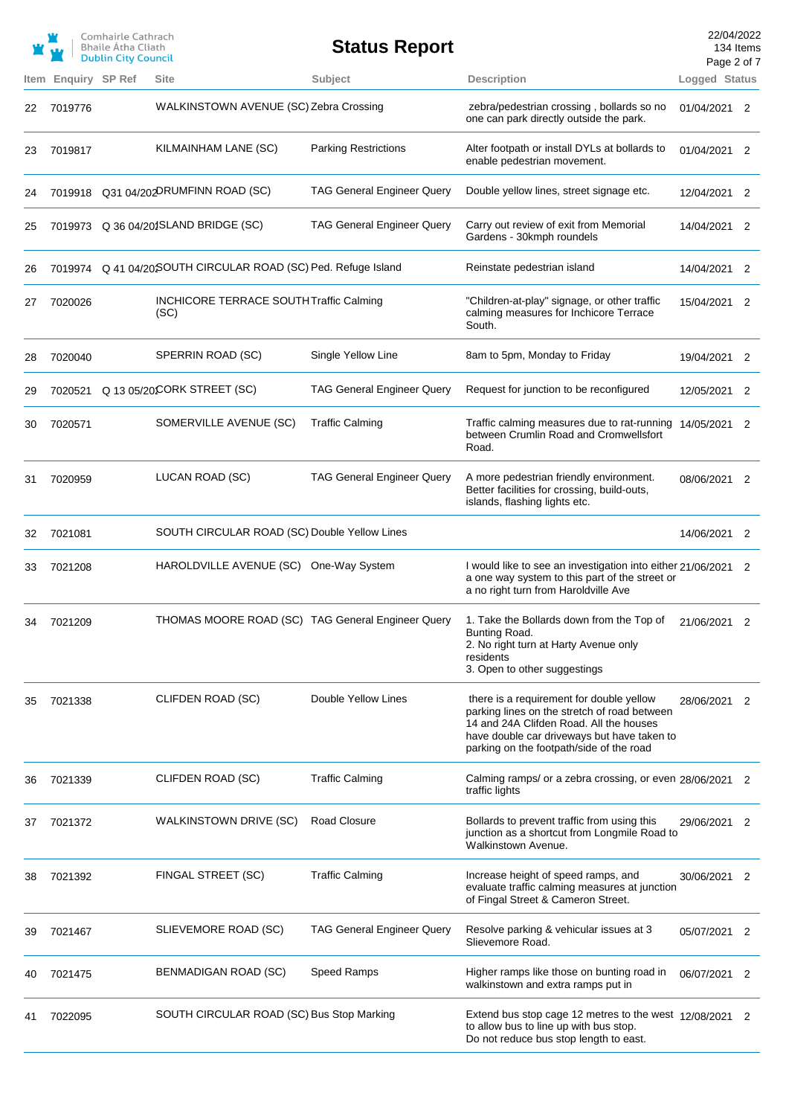|      |                | Comhairle Cathrach<br>Bhaile Átha Cliath<br><b>Dublin City Council</b> |                                                               | <b>Status Report</b>              |                                                                                                                                                                                                                                | 22/04/2022<br>Page 2 of 7 | 134 Items |
|------|----------------|------------------------------------------------------------------------|---------------------------------------------------------------|-----------------------------------|--------------------------------------------------------------------------------------------------------------------------------------------------------------------------------------------------------------------------------|---------------------------|-----------|
| Item | Enquiry SP Ref |                                                                        | Site                                                          | Subject                           | <b>Description</b>                                                                                                                                                                                                             | Logged Status             |           |
| 22   | 7019776        |                                                                        | WALKINSTOWN AVENUE (SC) Zebra Crossing                        |                                   | zebra/pedestrian crossing, bollards so no<br>one can park directly outside the park.                                                                                                                                           | 01/04/2021 2              |           |
| 23   | 7019817        |                                                                        | KILMAINHAM LANE (SC)                                          | <b>Parking Restrictions</b>       | Alter footpath or install DYLs at bollards to<br>enable pedestrian movement.                                                                                                                                                   | 01/04/2021 2              |           |
| 24   |                |                                                                        | 7019918 Q31 04/202DRUMFINN ROAD (SC)                          | <b>TAG General Engineer Query</b> | Double yellow lines, street signage etc.                                                                                                                                                                                       | 12/04/2021 2              |           |
| 25   |                |                                                                        | 7019973 Q 36 04/201SLAND BRIDGE (SC)                          | TAG General Engineer Query        | Carry out review of exit from Memorial<br>Gardens - 30kmph roundels                                                                                                                                                            | 14/04/2021 2              |           |
| 26   |                |                                                                        | 7019974 Q 41 04/20SOUTH CIRCULAR ROAD (SC) Ped. Refuge Island |                                   | Reinstate pedestrian island                                                                                                                                                                                                    | 14/04/2021                | 2         |
| 27   | 7020026        |                                                                        | INCHICORE TERRACE SOUTH Traffic Calming<br>(SC)               |                                   | "Children-at-play" signage, or other traffic<br>calming measures for Inchicore Terrace<br>South.                                                                                                                               | 15/04/2021 2              |           |
| 28   | 7020040        |                                                                        | SPERRIN ROAD (SC)                                             | Single Yellow Line                | 8am to 5pm, Monday to Friday                                                                                                                                                                                                   | 19/04/2021 2              |           |
| 29   |                |                                                                        | 7020521 Q 13 05/20CORK STREET (SC)                            | <b>TAG General Engineer Query</b> | Request for junction to be reconfigured                                                                                                                                                                                        | 12/05/2021                | 2         |
| 30   | 7020571        |                                                                        | SOMERVILLE AVENUE (SC)                                        | <b>Traffic Calming</b>            | Traffic calming measures due to rat-running<br>between Crumlin Road and Cromwellsfort<br>Road.                                                                                                                                 | 14/05/2021                | 2         |
| 31   | 7020959        |                                                                        | LUCAN ROAD (SC)                                               | <b>TAG General Engineer Query</b> | A more pedestrian friendly environment.<br>Better facilities for crossing, build-outs,<br>islands, flashing lights etc.                                                                                                        | 08/06/2021 2              |           |
| 32   | 7021081        |                                                                        | SOUTH CIRCULAR ROAD (SC) Double Yellow Lines                  |                                   |                                                                                                                                                                                                                                | 14/06/2021                | 2         |
| 33   | 7021208        |                                                                        | HAROLDVILLE AVENUE (SC)                                       | One-Way System                    | I would like to see an investigation into either 21/06/2021 2<br>a one way system to this part of the street or<br>a no right turn from Haroldville Ave                                                                        |                           |           |
| 34   | 7021209        |                                                                        |                                                               |                                   | THOMAS MOORE ROAD (SC) TAG General Engineer Query 1. Take the Bollards down from the Top of<br>Bunting Road.<br>2. No right turn at Harty Avenue only<br>residents<br>3. Open to other suggestings                             | 21/06/2021                |           |
| 35   | 7021338        |                                                                        | CLIFDEN ROAD (SC)                                             | Double Yellow Lines               | there is a requirement for double yellow<br>parking lines on the stretch of road between<br>14 and 24A Clifden Road. All the houses<br>have double car driveways but have taken to<br>parking on the footpath/side of the road | 28/06/2021                | 2         |
| 36   | 7021339        |                                                                        | CLIFDEN ROAD (SC)                                             | <b>Traffic Calming</b>            | Calming ramps/ or a zebra crossing, or even 28/06/2021<br>traffic lights                                                                                                                                                       |                           | 2         |
| 37   | 7021372        |                                                                        | <b>WALKINSTOWN DRIVE (SC)</b>                                 | <b>Road Closure</b>               | Bollards to prevent traffic from using this<br>junction as a shortcut from Longmile Road to<br>Walkinstown Avenue.                                                                                                             | 29/06/2021                | 2         |
| 38   | 7021392        |                                                                        | FINGAL STREET (SC)                                            | <b>Traffic Calming</b>            | Increase height of speed ramps, and<br>evaluate traffic calming measures at junction<br>of Fingal Street & Cameron Street.                                                                                                     | 30/06/2021 2              |           |
| 39   | 7021467        |                                                                        | SLIEVEMORE ROAD (SC)                                          | <b>TAG General Engineer Query</b> | Resolve parking & vehicular issues at 3<br>Slievemore Road.                                                                                                                                                                    | 05/07/2021                | 2         |
| 40   | 7021475        |                                                                        | BENMADIGAN ROAD (SC)                                          | Speed Ramps                       | Higher ramps like those on bunting road in<br>walkinstown and extra ramps put in                                                                                                                                               | 06/07/2021 2              |           |
|      | 7022095        |                                                                        | SOUTH CIRCULAR ROAD (SC) Bus Stop Marking                     |                                   | Extend bus stop cage 12 metres to the west 12/08/2021 2<br>to allow bus to line up with bus stop.<br>Do not reduce bus stop length to east.                                                                                    |                           |           |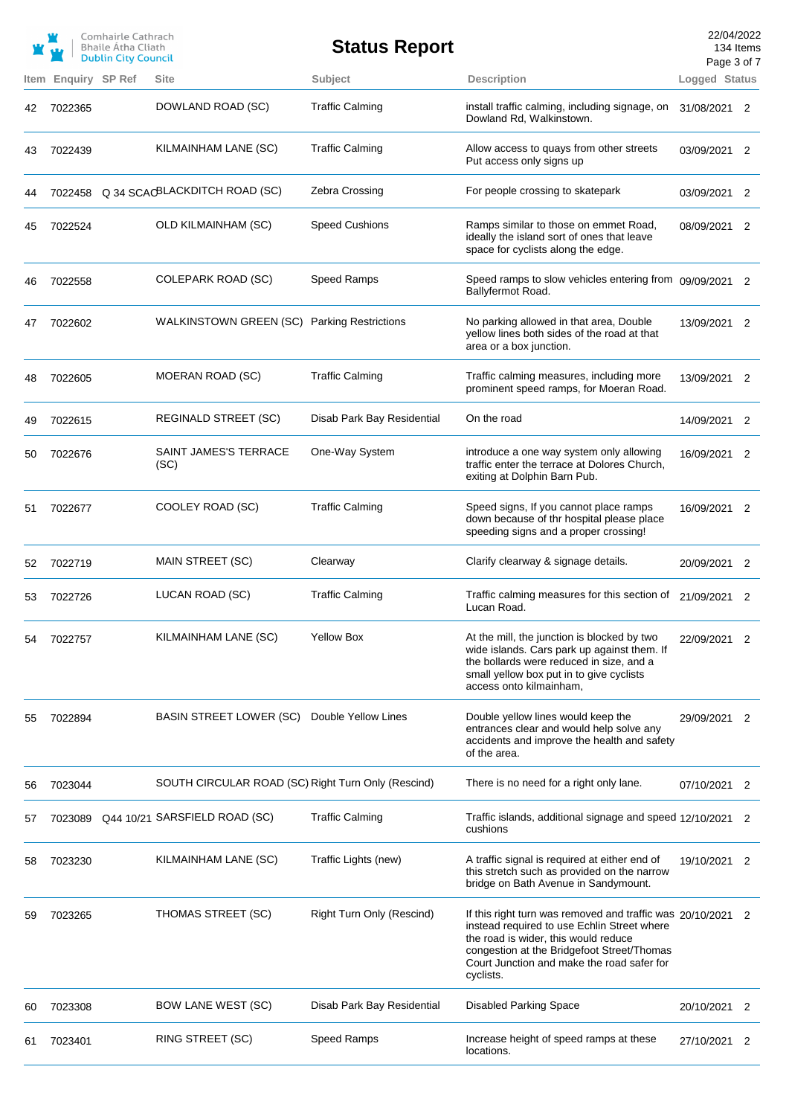|    |                            | Comhairle Cathrach<br><b>Bhaile Atha Cliath</b><br><b>Dublin City Council</b> |                                                    | <b>Status Report</b>       |                                                                                                                                                                                                                                                             | 22/04/2022<br>Page 3 of 7 | 134 Items      |
|----|----------------------------|-------------------------------------------------------------------------------|----------------------------------------------------|----------------------------|-------------------------------------------------------------------------------------------------------------------------------------------------------------------------------------------------------------------------------------------------------------|---------------------------|----------------|
|    | <b>Item Enguiry SP Ref</b> |                                                                               | <b>Site</b>                                        | Subject                    | <b>Description</b>                                                                                                                                                                                                                                          | Logged Status             |                |
| 42 | 7022365                    |                                                                               | DOWLAND ROAD (SC)                                  | <b>Traffic Calming</b>     | install traffic calming, including signage, on<br>Dowland Rd, Walkinstown.                                                                                                                                                                                  | 31/08/2021 2              |                |
| 43 | 7022439                    |                                                                               | KILMAINHAM LANE (SC)                               | <b>Traffic Calming</b>     | Allow access to quays from other streets<br>Put access only signs up                                                                                                                                                                                        | 03/09/2021 2              |                |
| 44 |                            |                                                                               | 7022458 Q 34 SCACBLACKDITCH ROAD (SC)              | Zebra Crossing             | For people crossing to skatepark                                                                                                                                                                                                                            | 03/09/2021 2              |                |
| 45 | 7022524                    |                                                                               | <b>OLD KILMAINHAM (SC)</b>                         | <b>Speed Cushions</b>      | Ramps similar to those on emmet Road,<br>ideally the island sort of ones that leave<br>space for cyclists along the edge.                                                                                                                                   | 08/09/2021 2              |                |
| 46 | 7022558                    |                                                                               | <b>COLEPARK ROAD (SC)</b>                          | Speed Ramps                | Speed ramps to slow vehicles entering from 09/09/2021 2<br>Ballyfermot Road.                                                                                                                                                                                |                           |                |
| 47 | 7022602                    |                                                                               | WALKINSTOWN GREEN (SC) Parking Restrictions        |                            | No parking allowed in that area, Double<br>yellow lines both sides of the road at that<br>area or a box junction.                                                                                                                                           | 13/09/2021 2              |                |
| 48 | 7022605                    |                                                                               | MOERAN ROAD (SC)                                   | <b>Traffic Calming</b>     | Traffic calming measures, including more<br>prominent speed ramps, for Moeran Road.                                                                                                                                                                         | 13/09/2021 2              |                |
| 49 | 7022615                    |                                                                               | <b>REGINALD STREET (SC)</b>                        | Disab Park Bay Residential | On the road                                                                                                                                                                                                                                                 | 14/09/2021 2              |                |
| 50 | 7022676                    |                                                                               | SAINT JAMES'S TERRACE<br>(SC)                      | One-Way System             | introduce a one way system only allowing<br>traffic enter the terrace at Dolores Church,<br>exiting at Dolphin Barn Pub.                                                                                                                                    | 16/09/2021                | 2              |
| 51 | 7022677                    |                                                                               | COOLEY ROAD (SC)                                   | <b>Traffic Calming</b>     | Speed signs, If you cannot place ramps<br>down because of thr hospital please place<br>speeding signs and a proper crossing!                                                                                                                                | 16/09/2021 2              |                |
| 52 | 7022719                    |                                                                               | MAIN STREET (SC)                                   | Clearway                   | Clarify clearway & signage details.                                                                                                                                                                                                                         | 20/09/2021                | 2              |
| 53 | 7022726                    |                                                                               | LUCAN ROAD (SC)                                    | <b>Traffic Calming</b>     | Traffic calming measures for this section of<br>Lucan Road.                                                                                                                                                                                                 | 21/09/2021 2              |                |
| 54 | 7022757                    |                                                                               | KILMAINHAM LANE (SC)                               | Yellow Box                 | At the mill, the junction is blocked by two<br>wide islands. Cars park up against them. If<br>the bollards were reduced in size, and a<br>small yellow box put in to give cyclists<br>access onto kilmainham.                                               | 22/09/2021 2              |                |
| 55 | 7022894                    |                                                                               | <b>BASIN STREET LOWER (SC)</b>                     | Double Yellow Lines        | Double yellow lines would keep the<br>entrances clear and would help solve any<br>accidents and improve the health and safety<br>of the area.                                                                                                               | 29/09/2021                | 2              |
| 56 | 7023044                    |                                                                               | SOUTH CIRCULAR ROAD (SC) Right Turn Only (Rescind) |                            | There is no need for a right only lane.                                                                                                                                                                                                                     | 07/10/2021                | 2              |
| 57 | 7023089                    |                                                                               | Q44 10/21 SARSFIELD ROAD (SC)                      | <b>Traffic Calming</b>     | Traffic islands, additional signage and speed 12/10/2021<br>cushions                                                                                                                                                                                        |                           | 2              |
| 58 | 7023230                    |                                                                               | KILMAINHAM LANE (SC)                               | Traffic Lights (new)       | A traffic signal is required at either end of<br>this stretch such as provided on the narrow<br>bridge on Bath Avenue in Sandymount.                                                                                                                        | 19/10/2021                | $\overline{2}$ |
| 59 | 7023265                    |                                                                               | THOMAS STREET (SC)                                 | Right Turn Only (Rescind)  | If this right turn was removed and traffic was 20/10/2021 2<br>instead required to use Echlin Street where<br>the road is wider, this would reduce<br>congestion at the Bridgefoot Street/Thomas<br>Court Junction and make the road safer for<br>cyclists. |                           |                |
| 60 | 7023308                    |                                                                               | <b>BOW LANE WEST (SC)</b>                          | Disab Park Bay Residential | <b>Disabled Parking Space</b>                                                                                                                                                                                                                               | 20/10/2021                | 2              |
| 61 | 7023401                    |                                                                               | RING STREET (SC)                                   | Speed Ramps                | Increase height of speed ramps at these<br>locations.                                                                                                                                                                                                       | 27/10/2021                | 2              |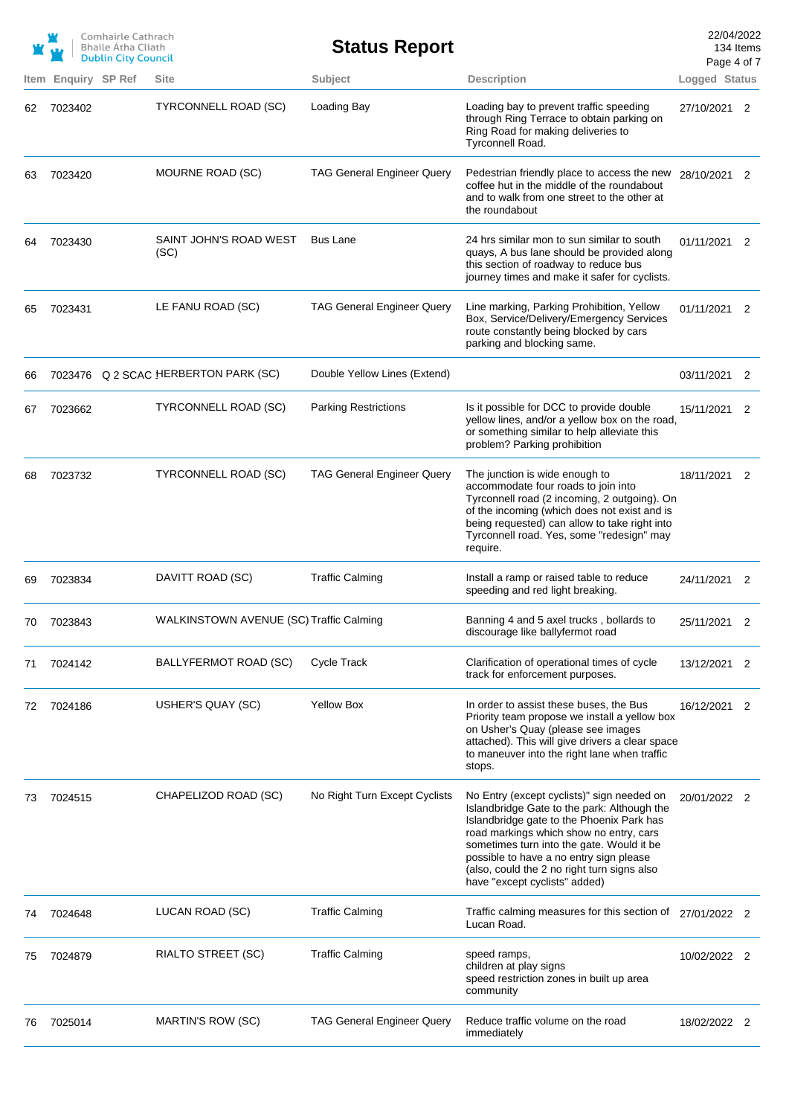|            |                     | Comhairle Cathrach<br><b>Bhaile Atha Cliath</b><br><b>Dublin City Council</b> |                                         | <b>Status Report</b>              |                                                                                                                                                                                                                                                                                                                                                           | 22/04/2022<br>Page 4 of 7 | 134 Items |
|------------|---------------------|-------------------------------------------------------------------------------|-----------------------------------------|-----------------------------------|-----------------------------------------------------------------------------------------------------------------------------------------------------------------------------------------------------------------------------------------------------------------------------------------------------------------------------------------------------------|---------------------------|-----------|
|            | Item Enquiry SP Ref |                                                                               | <b>Site</b>                             | Subject                           | <b>Description</b>                                                                                                                                                                                                                                                                                                                                        | Logged Status             |           |
| 62         | 7023402             |                                                                               | TYRCONNELL ROAD (SC)                    | Loading Bay                       | Loading bay to prevent traffic speeding<br>through Ring Terrace to obtain parking on<br>Ring Road for making deliveries to<br>Tyrconnell Road.                                                                                                                                                                                                            | 27/10/2021 2              |           |
| 63         | 7023420             |                                                                               | MOURNE ROAD (SC)                        | <b>TAG General Engineer Query</b> | Pedestrian friendly place to access the new 28/10/2021 2<br>coffee hut in the middle of the roundabout<br>and to walk from one street to the other at<br>the roundabout                                                                                                                                                                                   |                           |           |
| 64         | 7023430             |                                                                               | SAINT JOHN'S ROAD WEST<br>(SC)          | <b>Bus Lane</b>                   | 24 hrs similar mon to sun similar to south<br>quays, A bus lane should be provided along<br>this section of roadway to reduce bus<br>journey times and make it safer for cyclists.                                                                                                                                                                        | 01/11/2021 2              |           |
| 65         | 7023431             |                                                                               | LE FANU ROAD (SC)                       | <b>TAG General Engineer Query</b> | Line marking, Parking Prohibition, Yellow<br>Box, Service/Delivery/Emergency Services<br>route constantly being blocked by cars<br>parking and blocking same.                                                                                                                                                                                             | 01/11/2021 2              |           |
| 66         |                     |                                                                               | 7023476 Q 2 SCAC HERBERTON PARK (SC)    | Double Yellow Lines (Extend)      |                                                                                                                                                                                                                                                                                                                                                           | 03/11/2021 2              |           |
| 67         | 7023662             |                                                                               | TYRCONNELL ROAD (SC)                    | <b>Parking Restrictions</b>       | Is it possible for DCC to provide double<br>yellow lines, and/or a yellow box on the road,<br>or something similar to help alleviate this<br>problem? Parking prohibition                                                                                                                                                                                 | 15/11/2021 2              |           |
| 68         | 7023732             |                                                                               | TYRCONNELL ROAD (SC)                    | <b>TAG General Engineer Query</b> | The junction is wide enough to<br>accommodate four roads to join into<br>Tyrconnell road (2 incoming, 2 outgoing). On<br>of the incoming (which does not exist and is<br>being requested) can allow to take right into<br>Tyrconnell road. Yes, some "redesign" may<br>require.                                                                           | 18/11/2021 2              |           |
| 69         | 7023834             |                                                                               | DAVITT ROAD (SC)                        | <b>Traffic Calming</b>            | Install a ramp or raised table to reduce<br>speeding and red light breaking.                                                                                                                                                                                                                                                                              | 24/11/2021 2              |           |
| 70 -       | 7023843             |                                                                               | WALKINSTOWN AVENUE (SC) Traffic Calming |                                   | Banning 4 and 5 axel trucks, bollards to<br>discourage like ballyfermot road                                                                                                                                                                                                                                                                              | 25/11/2021                |           |
| $\sqrt{1}$ | 7024142             |                                                                               | BALLYFERMOT ROAD (SC)                   | <b>Cycle Track</b>                | Clarification of operational times of cycle<br>track for enforcement purposes.                                                                                                                                                                                                                                                                            | 13/12/2021 2              |           |
| 72         | 7024186             |                                                                               | USHER'S QUAY (SC)                       | <b>Yellow Box</b>                 | In order to assist these buses, the Bus<br>Priority team propose we install a yellow box<br>on Usher's Quay (please see images<br>attached). This will give drivers a clear space<br>to maneuver into the right lane when traffic<br>stops.                                                                                                               | 16/12/2021 2              |           |
| 73         | 7024515             |                                                                               | CHAPELIZOD ROAD (SC)                    | No Right Turn Except Cyclists     | No Entry (except cyclists)" sign needed on<br>Islandbridge Gate to the park: Although the<br>Islandbridge gate to the Phoenix Park has<br>road markings which show no entry, cars<br>sometimes turn into the gate. Would it be<br>possible to have a no entry sign please<br>(also, could the 2 no right turn signs also<br>have "except cyclists" added) | 20/01/2022 2              |           |
| 74         | 7024648             |                                                                               | LUCAN ROAD (SC)                         | <b>Traffic Calming</b>            | Traffic calming measures for this section of 27/01/2022 2<br>Lucan Road.                                                                                                                                                                                                                                                                                  |                           |           |
| 75         | 7024879             |                                                                               | RIALTO STREET (SC)                      | <b>Traffic Calming</b>            | speed ramps,<br>children at play signs<br>speed restriction zones in built up area<br>community                                                                                                                                                                                                                                                           | 10/02/2022 2              |           |
| 76         | 7025014             |                                                                               | MARTIN'S ROW (SC)                       | <b>TAG General Engineer Query</b> | Reduce traffic volume on the road<br>immediately                                                                                                                                                                                                                                                                                                          | 18/02/2022 2              |           |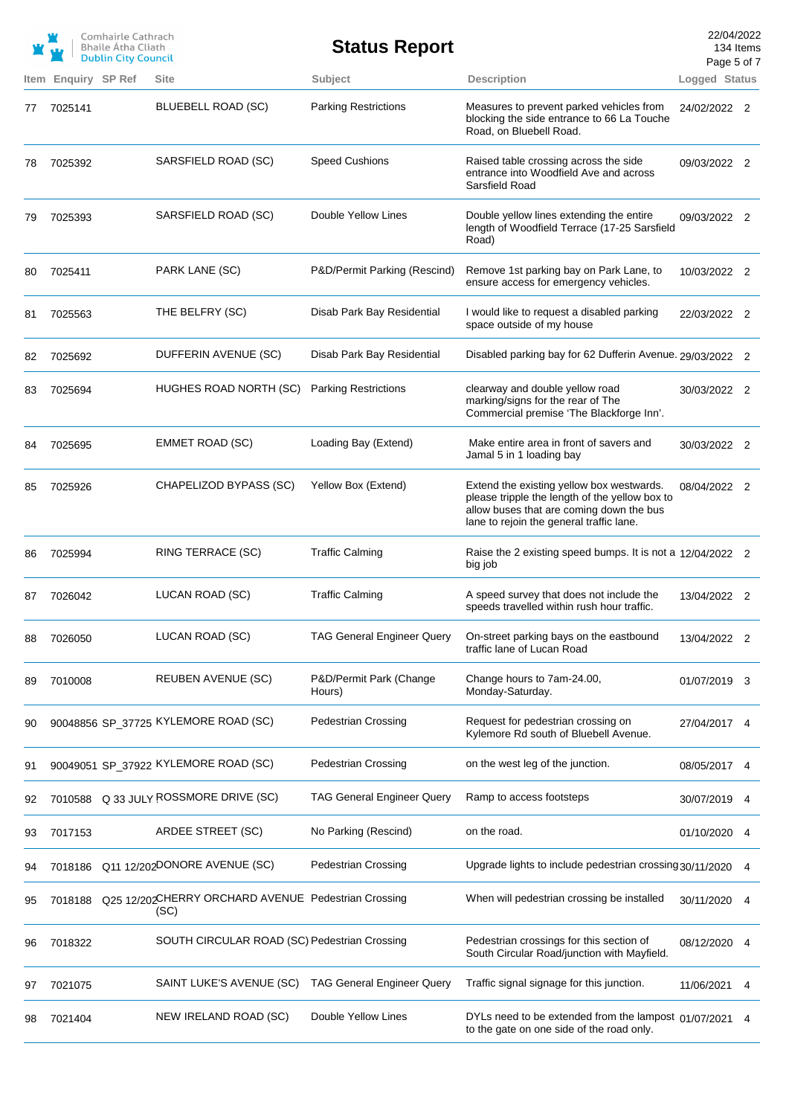|    |                     | Comhairle Cathrach<br><b>Bhaile Atha Cliath</b><br><b>Dublin City Council</b> |                                                             | <b>Status Report</b>              |                                                                                                                                                                                     | 22/04/2022<br>Page 5 of 7 | 134 Items |
|----|---------------------|-------------------------------------------------------------------------------|-------------------------------------------------------------|-----------------------------------|-------------------------------------------------------------------------------------------------------------------------------------------------------------------------------------|---------------------------|-----------|
|    | Item Enquiry SP Ref |                                                                               | <b>Site</b>                                                 | Subject                           | <b>Description</b>                                                                                                                                                                  | Logged Status             |           |
| 77 | 7025141             |                                                                               | <b>BLUEBELL ROAD (SC)</b>                                   | <b>Parking Restrictions</b>       | Measures to prevent parked vehicles from<br>blocking the side entrance to 66 La Touche<br>Road, on Bluebell Road.                                                                   | 24/02/2022 2              |           |
| 78 | 7025392             |                                                                               | SARSFIELD ROAD (SC)                                         | <b>Speed Cushions</b>             | Raised table crossing across the side<br>entrance into Woodfield Ave and across<br>Sarsfield Road                                                                                   | 09/03/2022 2              |           |
| 79 | 7025393             |                                                                               | SARSFIELD ROAD (SC)                                         | Double Yellow Lines               | Double yellow lines extending the entire<br>length of Woodfield Terrace (17-25 Sarsfield<br>Road)                                                                                   | 09/03/2022 2              |           |
| 80 | 7025411             |                                                                               | PARK LANE (SC)                                              | P&D/Permit Parking (Rescind)      | Remove 1st parking bay on Park Lane, to<br>ensure access for emergency vehicles.                                                                                                    | 10/03/2022 2              |           |
| 81 | 7025563             |                                                                               | THE BELFRY (SC)                                             | Disab Park Bay Residential        | I would like to request a disabled parking<br>space outside of my house                                                                                                             | 22/03/2022 2              |           |
| 82 | 7025692             |                                                                               | DUFFERIN AVENUE (SC)                                        | Disab Park Bay Residential        | Disabled parking bay for 62 Dufferin Avenue. 29/03/2022 2                                                                                                                           |                           |           |
| 83 | 7025694             |                                                                               | HUGHES ROAD NORTH (SC)                                      | <b>Parking Restrictions</b>       | clearway and double yellow road<br>marking/signs for the rear of The<br>Commercial premise 'The Blackforge Inn'.                                                                    | 30/03/2022 2              |           |
| 84 | 7025695             |                                                                               | <b>EMMET ROAD (SC)</b>                                      | Loading Bay (Extend)              | Make entire area in front of savers and<br>Jamal 5 in 1 loading bay                                                                                                                 | 30/03/2022 2              |           |
| 85 | 7025926             |                                                                               | CHAPELIZOD BYPASS (SC)                                      | Yellow Box (Extend)               | Extend the existing yellow box westwards.<br>please tripple the length of the yellow box to<br>allow buses that are coming down the bus<br>lane to rejoin the general traffic lane. | 08/04/2022 2              |           |
| 86 | 7025994             |                                                                               | RING TERRACE (SC)                                           | <b>Traffic Calming</b>            | Raise the 2 existing speed bumps. It is not a 12/04/2022 2<br>big job                                                                                                               |                           |           |
| 87 | 7026042             |                                                                               | LUCAN ROAD (SC)                                             | <b>Traffic Calming</b>            | A speed survey that does not include the<br>speeds travelled within rush hour traffic.                                                                                              | 13/04/2022 2              |           |
| 88 | 7026050             |                                                                               | LUCAN ROAD (SC)                                             | <b>TAG General Engineer Query</b> | On-street parking bays on the eastbound<br>traffic lane of Lucan Road                                                                                                               | 13/04/2022 2              |           |
| 89 | 7010008             |                                                                               | <b>REUBEN AVENUE (SC)</b>                                   | P&D/Permit Park (Change<br>Hours) | Change hours to 7am-24.00,<br>Monday-Saturday.                                                                                                                                      | 01/07/2019 3              |           |
| 90 |                     |                                                                               | 90048856 SP_37725 KYLEMORE ROAD (SC)                        | <b>Pedestrian Crossing</b>        | Request for pedestrian crossing on<br>Kylemore Rd south of Bluebell Avenue.                                                                                                         | 27/04/2017 4              |           |
| 91 |                     |                                                                               | 90049051 SP_37922 KYLEMORE ROAD (SC)                        | <b>Pedestrian Crossing</b>        | on the west leg of the junction.                                                                                                                                                    | 08/05/2017                | 4         |
| 92 | 7010588             |                                                                               | Q 33 JULY ROSSMORE DRIVE (SC)                               | <b>TAG General Engineer Query</b> | Ramp to access footsteps                                                                                                                                                            | 30/07/2019                | 4         |
| 93 | 7017153             |                                                                               | ARDEE STREET (SC)                                           | No Parking (Rescind)              | on the road.                                                                                                                                                                        | 01/10/2020                | 4         |
| 94 | 7018186             |                                                                               | Q11 12/202DONORE AVENUE (SC)                                | <b>Pedestrian Crossing</b>        | Upgrade lights to include pedestrian crossing 30/11/2020                                                                                                                            |                           | 4         |
| 95 | 7018188             |                                                                               | Q25 12/202CHERRY ORCHARD AVENUE Pedestrian Crossing<br>(SC) |                                   | When will pedestrian crossing be installed                                                                                                                                          | 30/11/2020                | 4         |
| 96 | 7018322             |                                                                               | SOUTH CIRCULAR ROAD (SC) Pedestrian Crossing                |                                   | Pedestrian crossings for this section of<br>South Circular Road/junction with Mayfield.                                                                                             | 08/12/2020                | 4         |
| 97 | 7021075             |                                                                               | SAINT LUKE'S AVENUE (SC)                                    | <b>TAG General Engineer Query</b> | Traffic signal signage for this junction.                                                                                                                                           | 11/06/2021                | 4         |
| 98 | 7021404             |                                                                               | NEW IRELAND ROAD (SC)                                       | Double Yellow Lines               | DYLs need to be extended from the lampost 01/07/2021<br>to the gate on one side of the road only.                                                                                   |                           | 4         |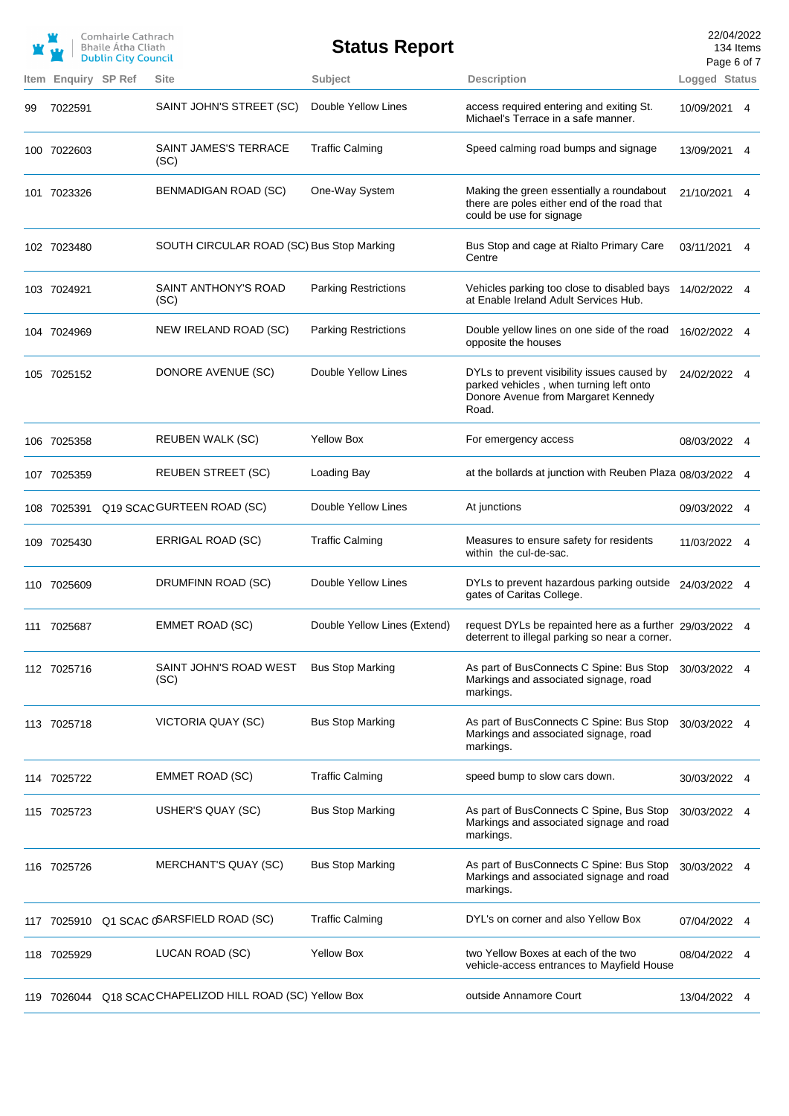|    |                     | Comhairle Cathrach<br><b>Bhaile Atha Cliath</b><br><b>Dublin City Council</b> |                                                          | <b>Status Report</b>         |                                                                                                                                        | 22/04/2022<br>134 Items<br>Page 6 of 7 |   |
|----|---------------------|-------------------------------------------------------------------------------|----------------------------------------------------------|------------------------------|----------------------------------------------------------------------------------------------------------------------------------------|----------------------------------------|---|
|    | Item Enquiry SP Ref |                                                                               | <b>Site</b>                                              | Subject                      | <b>Description</b>                                                                                                                     | Logged Status                          |   |
| 99 | 7022591             |                                                                               | SAINT JOHN'S STREET (SC)                                 | Double Yellow Lines          | access required entering and exiting St.<br>Michael's Terrace in a safe manner.                                                        | 10/09/2021                             | 4 |
|    | 100 7022603         |                                                                               | SAINT JAMES'S TERRACE<br>(SC)                            | <b>Traffic Calming</b>       | Speed calming road bumps and signage                                                                                                   | 13/09/2021                             | 4 |
|    | 101 7023326         |                                                                               | BENMADIGAN ROAD (SC)                                     | One-Way System               | Making the green essentially a roundabout<br>there are poles either end of the road that<br>could be use for signage                   | 21/10/2021 4                           |   |
|    | 102 7023480         |                                                                               | SOUTH CIRCULAR ROAD (SC) Bus Stop Marking                |                              | Bus Stop and cage at Rialto Primary Care<br>Centre                                                                                     | 03/11/2021                             | 4 |
|    | 103 7024921         |                                                                               | SAINT ANTHONY'S ROAD<br>(SC)                             | <b>Parking Restrictions</b>  | Vehicles parking too close to disabled bays<br>at Enable Ireland Adult Services Hub.                                                   | 14/02/2022 4                           |   |
|    | 104 7024969         |                                                                               | NEW IRELAND ROAD (SC)                                    | <b>Parking Restrictions</b>  | Double yellow lines on one side of the road<br>opposite the houses                                                                     | 16/02/2022 4                           |   |
|    | 105 7025152         |                                                                               | DONORE AVENUE (SC)                                       | Double Yellow Lines          | DYLs to prevent visibility issues caused by<br>parked vehicles, when turning left onto<br>Donore Avenue from Margaret Kennedy<br>Road. | 24/02/2022 4                           |   |
|    | 106 7025358         |                                                                               | <b>REUBEN WALK (SC)</b>                                  | <b>Yellow Box</b>            | For emergency access                                                                                                                   | 08/03/2022 4                           |   |
|    | 107 7025359         |                                                                               | <b>REUBEN STREET (SC)</b>                                | Loading Bay                  | at the bollards at junction with Reuben Plaza 08/03/2022 4                                                                             |                                        |   |
|    |                     |                                                                               | 108 7025391 Q19 SCAC GURTEEN ROAD (SC)                   | Double Yellow Lines          | At junctions                                                                                                                           | 09/03/2022 4                           |   |
|    | 109 7025430         |                                                                               | ERRIGAL ROAD (SC)                                        | <b>Traffic Calming</b>       | Measures to ensure safety for residents<br>within the cul-de-sac.                                                                      | 11/03/2022 4                           |   |
|    | 110 7025609         |                                                                               | DRUMFINN ROAD (SC)                                       | Double Yellow Lines          | DYLs to prevent hazardous parking outside 24/03/2022 4<br>gates of Caritas College.                                                    |                                        |   |
|    | 111 7025687         |                                                                               | <b>EMMET ROAD (SC)</b>                                   | Double Yellow Lines (Extend) | request DYLs be repainted here as a further 29/03/2022 4<br>deterrent to illegal parking so near a corner.                             |                                        |   |
|    | 112 7025716         |                                                                               | SAINT JOHN'S ROAD WEST<br>(SC)                           | <b>Bus Stop Marking</b>      | As part of BusConnects C Spine: Bus Stop<br>Markings and associated signage, road<br>markings.                                         | 30/03/2022 4                           |   |
|    | 113 7025718         |                                                                               | VICTORIA QUAY (SC)                                       | <b>Bus Stop Marking</b>      | As part of BusConnects C Spine: Bus Stop<br>Markings and associated signage, road<br>markings.                                         | 30/03/2022 4                           |   |
|    | 114 7025722         |                                                                               | EMMET ROAD (SC)                                          | <b>Traffic Calming</b>       | speed bump to slow cars down.                                                                                                          | 30/03/2022 4                           |   |
|    | 115 7025723         |                                                                               | USHER'S QUAY (SC)                                        | <b>Bus Stop Marking</b>      | As part of BusConnects C Spine, Bus Stop<br>Markings and associated signage and road<br>markings.                                      | 30/03/2022 4                           |   |
|    | 116 7025726         |                                                                               | MERCHANT'S QUAY (SC)                                     | <b>Bus Stop Marking</b>      | As part of BusConnects C Spine: Bus Stop<br>Markings and associated signage and road<br>markings.                                      | 30/03/2022 4                           |   |
|    |                     |                                                                               | 117 7025910 Q1 SCAC (SARSFIELD ROAD (SC)                 | <b>Traffic Calming</b>       | DYL's on corner and also Yellow Box                                                                                                    | 07/04/2022                             | 4 |
|    | 118 7025929         |                                                                               | LUCAN ROAD (SC)                                          | <b>Yellow Box</b>            | two Yellow Boxes at each of the two<br>vehicle-access entrances to Mayfield House                                                      | 08/04/2022                             |   |
|    |                     |                                                                               | 119 7026044 Q18 SCACCHAPELIZOD HILL ROAD (SC) Yellow Box |                              | outside Annamore Court                                                                                                                 | 13/04/2022 4                           |   |